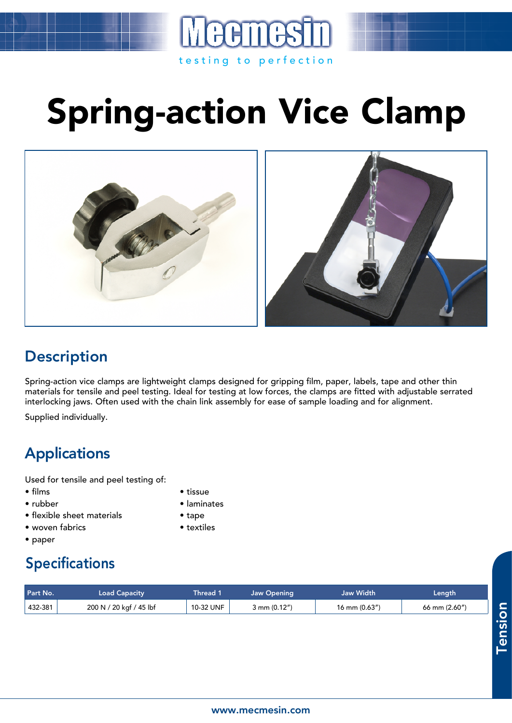## Spring-action Vice Clamp

testing to perfection





## **Description**

Spring-action vice clamps are lightweight clamps designed for gripping film, paper, labels, tape and other thin materials for tensile and peel testing. Ideal for testing at low forces, the clamps are fitted with adjustable serrated interlocking jaws. Often used with the chain link assembly for ease of sample loading and for alignment.

Supplied individually.

## Applications

Used for tensile and peel testing of:

- films tissue
- 
- flexible sheet materials tape
- woven fabrics textiles
- paper
- 
- rubber laminates
	-
	-

## Specifications

| Part No. | <b>Load Capacity</b>    | Thread 1  | Jaw Opening  | Jaw Width          | Length        |
|----------|-------------------------|-----------|--------------|--------------------|---------------|
| 432-381  | 200 N / 20 kgf / 45 lbf | 10-32 UNF | 3 mm (0.12") | $16$ mm $(0.63'')$ | 66 mm (2.60") |